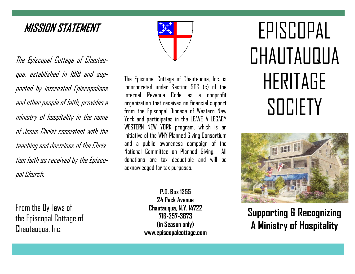## **MISSION STATEMENT**

The Episcopal Cottage of Chautauqua, established in 1919 and supported by interested Episcopalians and other people of faith, provides a ministry of hospitality in the name of Jesus Christ consistent with the teaching and doctrines of the Christian faith as received by the Episcopal Church.

From the By-laws of the Episcopal Cottage of Chautauqua, Inc.

The Episcopal Cottage of Chautauqua, Inc. is incorporated under Section 503 (c) of the Internal Revenue Code as a nonprofit organization that receives no financial support from the Episcopal Diocese of Western New York and participates in the LEAVE A LEGACY WESTERN NEW YORK program, which is an initiative of the WNY Planned Giving Consortium and a public awareness campaign of the National Committee on Planned Giving. All donations are tax deductible and will be acknowledged for tax purposes.

> **P.O. Box 1255 24 Peck Avenue Chautauqua, N.Y. l4722 716-357-3673 (in Season only) www.episcopalcottage.com**

# EPISCOPAL CHAUTAUQUA HERITAGE **SOCIETY**



**Supporting & Recognizing A Ministry of Hospitality**